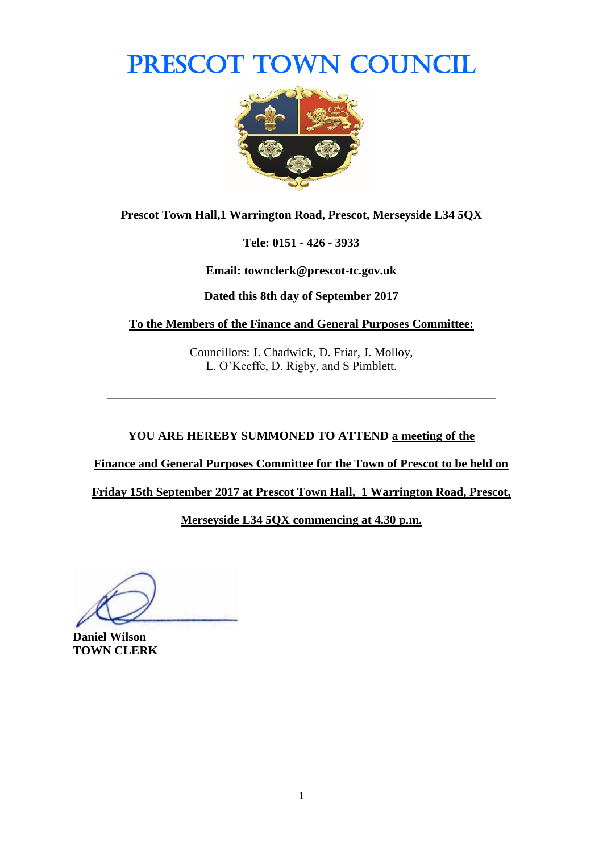# PRESCOT TOWN COUNCIL



**Prescot Town Hall,1 Warrington Road, Prescot, Merseyside L34 5QX**

**Tele: 0151 - 426 - 3933**

**Email: townclerk@prescot-tc.gov.uk**

**Dated this 8th day of September 2017**

**To the Members of the Finance and General Purposes Committee:**

Councillors: J. Chadwick, D. Friar, J. Molloy, L. O'Keeffe, D. Rigby, and S Pimblett.

**\_\_\_\_\_\_\_\_\_\_\_\_\_\_\_\_\_\_\_\_\_\_\_\_\_\_\_\_\_\_\_\_\_\_\_\_\_\_\_\_\_\_\_\_\_\_\_\_\_\_\_\_\_\_\_\_\_\_\_\_\_\_\_\_**

**YOU ARE HEREBY SUMMONED TO ATTEND a meeting of the** 

**Finance and General Purposes Committee for the Town of Prescot to be held on** 

**Friday 15th September 2017 at Prescot Town Hall, 1 Warrington Road, Prescot,** 

**Merseyside L34 5QX commencing at 4.30 p.m.**

**Daniel Wilson TOWN CLERK**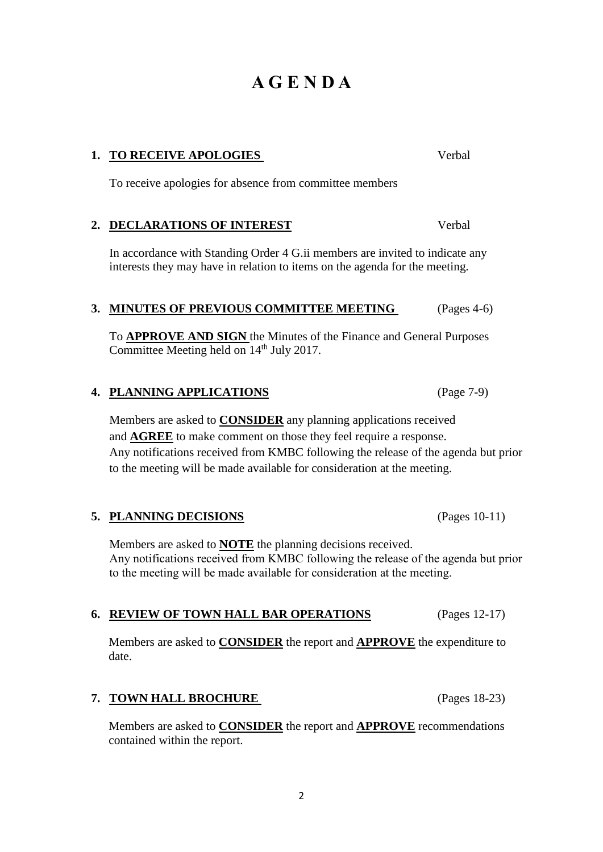## **A G E N D A**

#### **1. TO RECEIVE APOLOGIES** Verbal

To receive apologies for absence from committee members

## **2. DECLARATIONS OF INTEREST** Verbal

In accordance with Standing Order 4 G.ii members are invited to indicate any interests they may have in relation to items on the agenda for the meeting.

## **3. MINUTES OF PREVIOUS COMMITTEE MEETING** (Pages 4-6)

To **APPROVE AND SIGN** the Minutes of the Finance and General Purposes Committee Meeting held on  $14<sup>th</sup>$  July 2017.

## **4. PLANNING APPLICATIONS** (Page 7-9)

Members are asked to **CONSIDER** any planning applications received and **AGREE** to make comment on those they feel require a response. Any notifications received from KMBC following the release of the agenda but prior to the meeting will be made available for consideration at the meeting.

## **5. PLANNING DECISIONS** (Pages 10-11)

Members are asked to **NOTE** the planning decisions received. Any notifications received from KMBC following the release of the agenda but prior to the meeting will be made available for consideration at the meeting.

## **6. REVIEW OF TOWN HALL BAR OPERATIONS** (Pages 12-17)

Members are asked to **CONSIDER** the report and **APPROVE** the expenditure to date.

## **7. TOWN HALL BROCHURE** (Pages 18-23)

Members are asked to **CONSIDER** the report and **APPROVE** recommendations contained within the report.